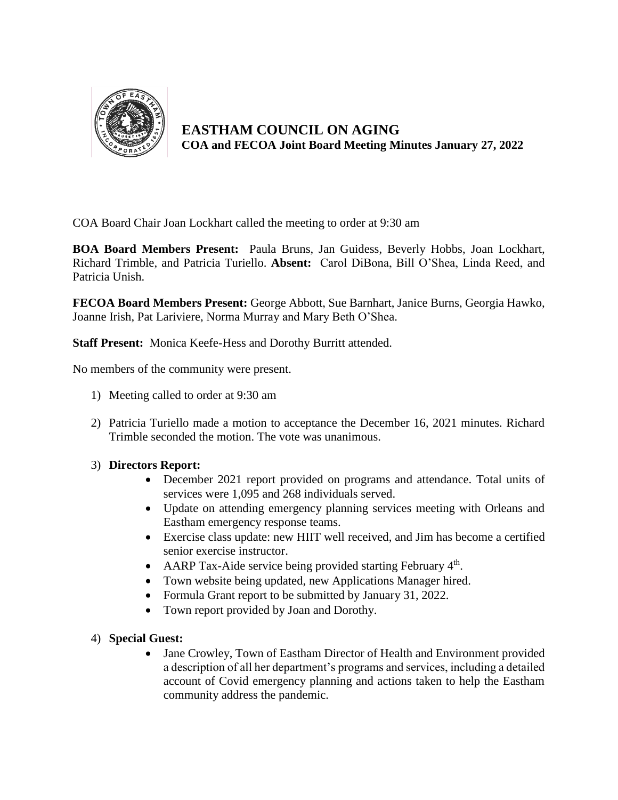

**EASTHAM COUNCIL ON AGING COA and FECOA Joint Board Meeting Minutes January 27, 2022**

COA Board Chair Joan Lockhart called the meeting to order at 9:30 am

**BOA Board Members Present:** Paula Bruns, Jan Guidess, Beverly Hobbs, Joan Lockhart, Richard Trimble, and Patricia Turiello. **Absent:** Carol DiBona, Bill O'Shea, Linda Reed, and Patricia Unish.

**FECOA Board Members Present:** George Abbott, Sue Barnhart, Janice Burns, Georgia Hawko, Joanne Irish, Pat Lariviere, Norma Murray and Mary Beth O'Shea.

**Staff Present:** Monica Keefe-Hess and Dorothy Burritt attended.

No members of the community were present.

- 1) Meeting called to order at 9:30 am
- 2) Patricia Turiello made a motion to acceptance the December 16, 2021 minutes. Richard Trimble seconded the motion. The vote was unanimous.

# 3) **Directors Report:**

- December 2021 report provided on programs and attendance. Total units of services were 1,095 and 268 individuals served.
- Update on attending emergency planning services meeting with Orleans and Eastham emergency response teams.
- Exercise class update: new HIIT well received, and Jim has become a certified senior exercise instructor.
- AARP Tax-Aide service being provided starting February  $4<sup>th</sup>$ .
- Town website being updated, new Applications Manager hired.
- Formula Grant report to be submitted by January 31, 2022.
- Town report provided by Joan and Dorothy.

# 4) **Special Guest:**

 Jane Crowley, Town of Eastham Director of Health and Environment provided a description of all her department's programs and services, including a detailed account of Covid emergency planning and actions taken to help the Eastham community address the pandemic.